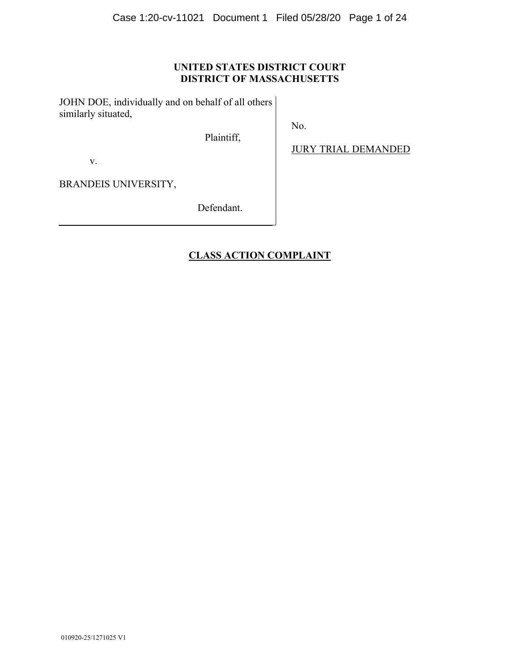# **UNITED STATES DISTRICT COURT DISTRICT OF MASSACHUSETTS**

No.

JOHN DOE, individually and on behalf of all others similarly situated,

Plaintiff,

JURY TRIAL DEMANDED

v.

BRANDEIS UNIVERSITY,

Defendant.

# **CLASS ACTION COMPLAINT**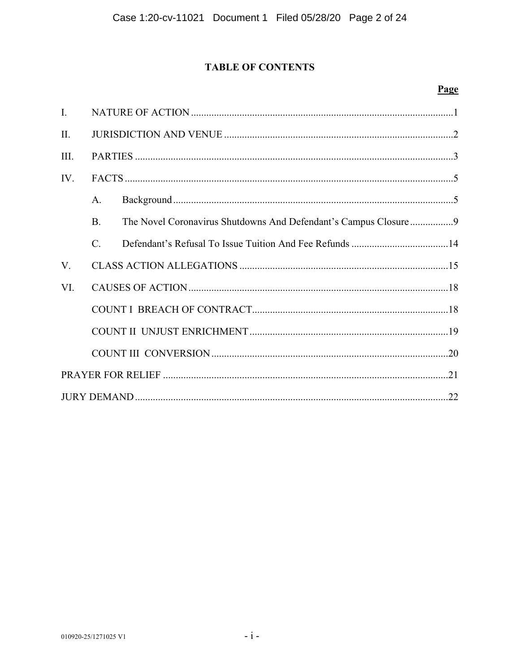# **TABLE OF CONTENTS**

# Page

| $\mathbf{I}$ . |                 |  |  |  |  |  |
|----------------|-----------------|--|--|--|--|--|
| II.            |                 |  |  |  |  |  |
| III.           |                 |  |  |  |  |  |
| IV.            |                 |  |  |  |  |  |
|                | A.              |  |  |  |  |  |
|                | $\mathbf{B}$ .  |  |  |  |  |  |
|                | $\mathcal{C}$ . |  |  |  |  |  |
| V.             |                 |  |  |  |  |  |
| VI.            |                 |  |  |  |  |  |
|                |                 |  |  |  |  |  |
|                |                 |  |  |  |  |  |
|                |                 |  |  |  |  |  |
|                |                 |  |  |  |  |  |
|                |                 |  |  |  |  |  |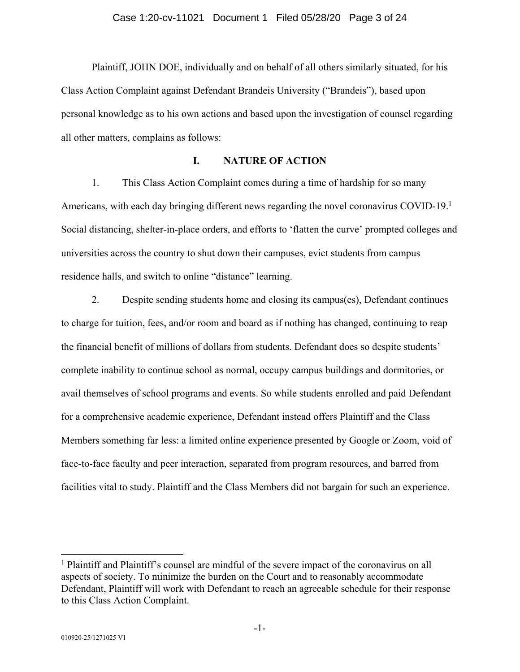Plaintiff, JOHN DOE, individually and on behalf of all others similarly situated, for his Class Action Complaint against Defendant Brandeis University ("Brandeis"), based upon personal knowledge as to his own actions and based upon the investigation of counsel regarding all other matters, complains as follows:

## **I. NATURE OF ACTION**

1. This Class Action Complaint comes during a time of hardship for so many Americans, with each day bringing different news regarding the novel coronavirus COVID-19.<sup>1</sup> Social distancing, shelter-in-place orders, and efforts to 'flatten the curve' prompted colleges and universities across the country to shut down their campuses, evict students from campus residence halls, and switch to online "distance" learning.

2. Despite sending students home and closing its campus(es), Defendant continues to charge for tuition, fees, and/or room and board as if nothing has changed, continuing to reap the financial benefit of millions of dollars from students. Defendant does so despite students' complete inability to continue school as normal, occupy campus buildings and dormitories, or avail themselves of school programs and events. So while students enrolled and paid Defendant for a comprehensive academic experience, Defendant instead offers Plaintiff and the Class Members something far less: a limited online experience presented by Google or Zoom, void of face-to-face faculty and peer interaction, separated from program resources, and barred from facilities vital to study. Plaintiff and the Class Members did not bargain for such an experience.

1

<sup>&</sup>lt;sup>1</sup> Plaintiff and Plaintiff's counsel are mindful of the severe impact of the coronavirus on all aspects of society. To minimize the burden on the Court and to reasonably accommodate Defendant, Plaintiff will work with Defendant to reach an agreeable schedule for their response to this Class Action Complaint.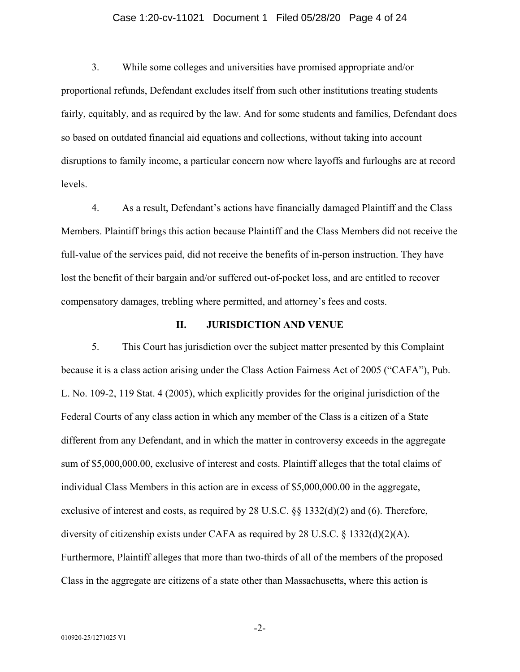### Case 1:20-cv-11021 Document 1 Filed 05/28/20 Page 4 of 24

3. While some colleges and universities have promised appropriate and/or proportional refunds, Defendant excludes itself from such other institutions treating students fairly, equitably, and as required by the law. And for some students and families, Defendant does so based on outdated financial aid equations and collections, without taking into account disruptions to family income, a particular concern now where layoffs and furloughs are at record levels.

4. As a result, Defendant's actions have financially damaged Plaintiff and the Class Members. Plaintiff brings this action because Plaintiff and the Class Members did not receive the full-value of the services paid, did not receive the benefits of in-person instruction. They have lost the benefit of their bargain and/or suffered out-of-pocket loss, and are entitled to recover compensatory damages, trebling where permitted, and attorney's fees and costs.

### **II. JURISDICTION AND VENUE**

5. This Court has jurisdiction over the subject matter presented by this Complaint because it is a class action arising under the Class Action Fairness Act of 2005 ("CAFA"), Pub. L. No. 109-2, 119 Stat. 4 (2005), which explicitly provides for the original jurisdiction of the Federal Courts of any class action in which any member of the Class is a citizen of a State different from any Defendant, and in which the matter in controversy exceeds in the aggregate sum of \$5,000,000.00, exclusive of interest and costs. Plaintiff alleges that the total claims of individual Class Members in this action are in excess of \$5,000,000.00 in the aggregate, exclusive of interest and costs, as required by 28 U.S.C.  $\S$  1332(d)(2) and (6). Therefore, diversity of citizenship exists under CAFA as required by 28 U.S.C. § 1332(d)(2)(A). Furthermore, Plaintiff alleges that more than two-thirds of all of the members of the proposed Class in the aggregate are citizens of a state other than Massachusetts, where this action is

-2-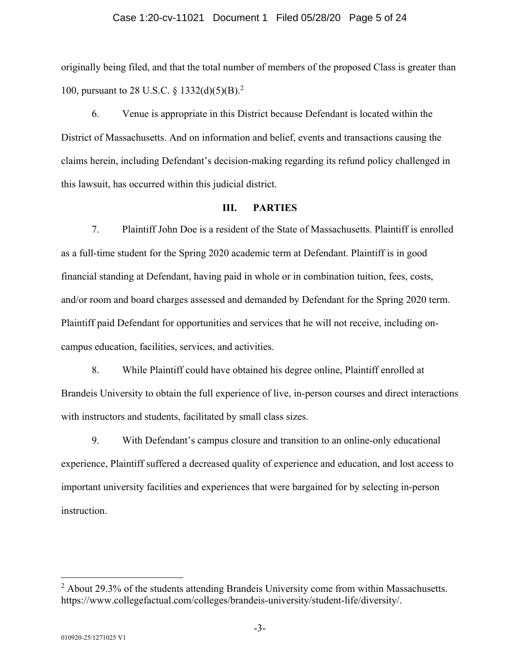### Case 1:20-cv-11021 Document 1 Filed 05/28/20 Page 5 of 24

originally being filed, and that the total number of members of the proposed Class is greater than 100, pursuant to 28 U.S.C. § 1332(d)(5)(B).2

6. Venue is appropriate in this District because Defendant is located within the District of Massachusetts. And on information and belief, events and transactions causing the claims herein, including Defendant's decision-making regarding its refund policy challenged in this lawsuit, has occurred within this judicial district.

## **III. PARTIES**

7. Plaintiff John Doe is a resident of the State of Massachusetts. Plaintiff is enrolled as a full-time student for the Spring 2020 academic term at Defendant. Plaintiff is in good financial standing at Defendant, having paid in whole or in combination tuition, fees, costs, and/or room and board charges assessed and demanded by Defendant for the Spring 2020 term. Plaintiff paid Defendant for opportunities and services that he will not receive, including oncampus education, facilities, services, and activities.

8. While Plaintiff could have obtained his degree online, Plaintiff enrolled at Brandeis University to obtain the full experience of live, in-person courses and direct interactions with instructors and students, facilitated by small class sizes.

9. With Defendant's campus closure and transition to an online-only educational experience, Plaintiff suffered a decreased quality of experience and education, and lost access to important university facilities and experiences that were bargained for by selecting in-person instruction.

 $2$  About 29.3% of the students attending Brandeis University come from within Massachusetts. https://www.collegefactual.com/colleges/brandeis-university/student-life/diversity/.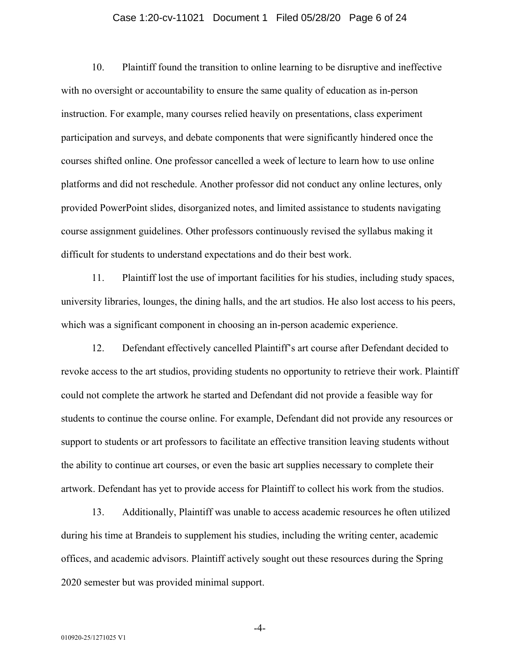### Case 1:20-cv-11021 Document 1 Filed 05/28/20 Page 6 of 24

10. Plaintiff found the transition to online learning to be disruptive and ineffective with no oversight or accountability to ensure the same quality of education as in-person instruction. For example, many courses relied heavily on presentations, class experiment participation and surveys, and debate components that were significantly hindered once the courses shifted online. One professor cancelled a week of lecture to learn how to use online platforms and did not reschedule. Another professor did not conduct any online lectures, only provided PowerPoint slides, disorganized notes, and limited assistance to students navigating course assignment guidelines. Other professors continuously revised the syllabus making it difficult for students to understand expectations and do their best work.

11. Plaintiff lost the use of important facilities for his studies, including study spaces, university libraries, lounges, the dining halls, and the art studios. He also lost access to his peers, which was a significant component in choosing an in-person academic experience.

12. Defendant effectively cancelled Plaintiff's art course after Defendant decided to revoke access to the art studios, providing students no opportunity to retrieve their work. Plaintiff could not complete the artwork he started and Defendant did not provide a feasible way for students to continue the course online. For example, Defendant did not provide any resources or support to students or art professors to facilitate an effective transition leaving students without the ability to continue art courses, or even the basic art supplies necessary to complete their artwork. Defendant has yet to provide access for Plaintiff to collect his work from the studios.

13. Additionally, Plaintiff was unable to access academic resources he often utilized during his time at Brandeis to supplement his studies, including the writing center, academic offices, and academic advisors. Plaintiff actively sought out these resources during the Spring 2020 semester but was provided minimal support.

-4-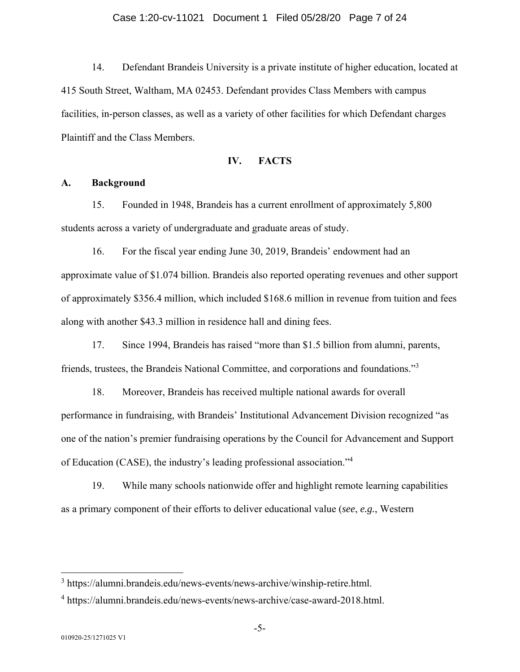14. Defendant Brandeis University is a private institute of higher education, located at 415 South Street, Waltham, MA 02453. Defendant provides Class Members with campus facilities, in-person classes, as well as a variety of other facilities for which Defendant charges Plaintiff and the Class Members.

### **IV. FACTS**

### **A. Background**

15. Founded in 1948, Brandeis has a current enrollment of approximately 5,800 students across a variety of undergraduate and graduate areas of study.

16. For the fiscal year ending June 30, 2019, Brandeis' endowment had an approximate value of \$1.074 billion. Brandeis also reported operating revenues and other support of approximately \$356.4 million, which included \$168.6 million in revenue from tuition and fees along with another \$43.3 million in residence hall and dining fees.

17. Since 1994, Brandeis has raised "more than \$1.5 billion from alumni, parents, friends, trustees, the Brandeis National Committee, and corporations and foundations."<sup>3</sup>

18. Moreover, Brandeis has received multiple national awards for overall performance in fundraising, with Brandeis' Institutional Advancement Division recognized "as one of the nation's premier fundraising operations by the Council for Advancement and Support of Education (CASE), the industry's leading professional association."4

19. While many schools nationwide offer and highlight remote learning capabilities as a primary component of their efforts to deliver educational value (*see*, *e.g.*, Western

1

<sup>&</sup>lt;sup>3</sup> https://alumni.brandeis.edu/news-events/news-archive/winship-retire.html.

<sup>4</sup> https://alumni.brandeis.edu/news-events/news-archive/case-award-2018.html.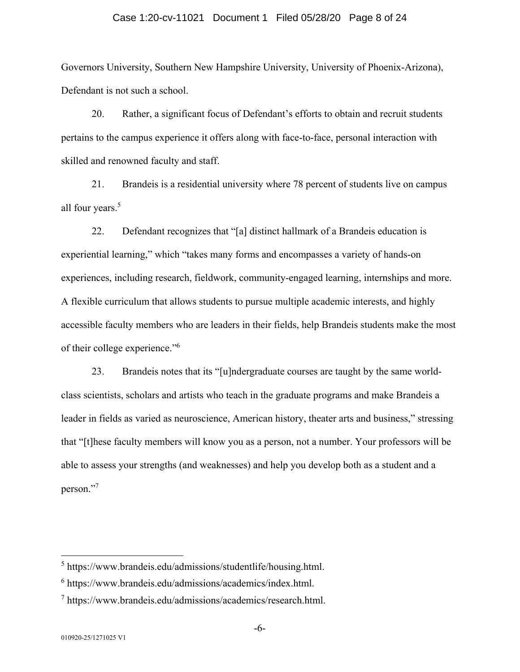### Case 1:20-cv-11021 Document 1 Filed 05/28/20 Page 8 of 24

Governors University, Southern New Hampshire University, University of Phoenix-Arizona), Defendant is not such a school.

20. Rather, a significant focus of Defendant's efforts to obtain and recruit students pertains to the campus experience it offers along with face-to-face, personal interaction with skilled and renowned faculty and staff.

21. Brandeis is a residential university where 78 percent of students live on campus all four years.<sup>5</sup>

22. Defendant recognizes that "[a] distinct hallmark of a Brandeis education is experiential learning," which "takes many forms and encompasses a variety of hands-on experiences, including research, fieldwork, community-engaged learning, internships and more. A flexible curriculum that allows students to pursue multiple academic interests, and highly accessible faculty members who are leaders in their fields, help Brandeis students make the most of their college experience."6

23. Brandeis notes that its "[u]ndergraduate courses are taught by the same worldclass scientists, scholars and artists who teach in the graduate programs and make Brandeis a leader in fields as varied as neuroscience, American history, theater arts and business," stressing that "[t]hese faculty members will know you as a person, not a number. Your professors will be able to assess your strengths (and weaknesses) and help you develop both as a student and a person."7

<sup>5</sup> https://www.brandeis.edu/admissions/studentlife/housing.html.

<sup>6</sup> https://www.brandeis.edu/admissions/academics/index.html.

<sup>7</sup> https://www.brandeis.edu/admissions/academics/research.html.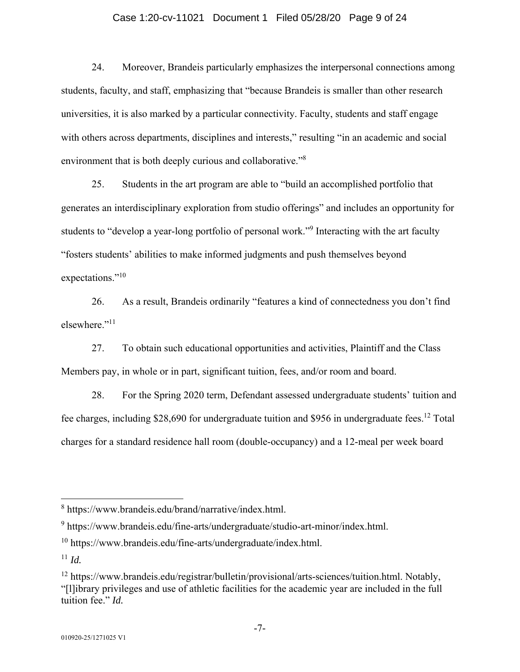### Case 1:20-cv-11021 Document 1 Filed 05/28/20 Page 9 of 24

24. Moreover, Brandeis particularly emphasizes the interpersonal connections among students, faculty, and staff, emphasizing that "because Brandeis is smaller than other research universities, it is also marked by a particular connectivity. Faculty, students and staff engage with others across departments, disciplines and interests," resulting "in an academic and social environment that is both deeply curious and collaborative."<sup>8</sup>

25. Students in the art program are able to "build an accomplished portfolio that generates an interdisciplinary exploration from studio offerings" and includes an opportunity for students to "develop a year-long portfolio of personal work."<sup>9</sup> Interacting with the art faculty "fosters students' abilities to make informed judgments and push themselves beyond expectations."<sup>10</sup>

26. As a result, Brandeis ordinarily "features a kind of connectedness you don't find elsewhere."<sup>11</sup>

27. To obtain such educational opportunities and activities, Plaintiff and the Class Members pay, in whole or in part, significant tuition, fees, and/or room and board.

28. For the Spring 2020 term, Defendant assessed undergraduate students' tuition and fee charges, including \$28,690 for undergraduate tuition and \$956 in undergraduate fees.<sup>12</sup> Total charges for a standard residence hall room (double-occupancy) and a 12-meal per week board

1

<sup>8</sup> https://www.brandeis.edu/brand/narrative/index.html.

<sup>&</sup>lt;sup>9</sup> https://www.brandeis.edu/fine-arts/undergraduate/studio-art-minor/index.html.

<sup>10</sup> https://www.brandeis.edu/fine-arts/undergraduate/index.html.

 $11$  *Id.* 

<sup>&</sup>lt;sup>12</sup> https://www.brandeis.edu/registrar/bulletin/provisional/arts-sciences/tuition.html. Notably, "[l]ibrary privileges and use of athletic facilities for the academic year are included in the full tuition fee." *Id.*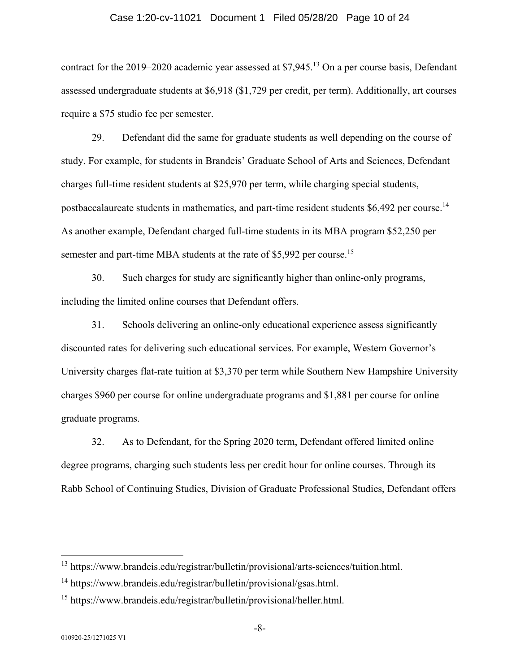#### Case 1:20-cv-11021 Document 1 Filed 05/28/20 Page 10 of 24

contract for the 2019–2020 academic year assessed at \$7,945.13 On a per course basis, Defendant assessed undergraduate students at \$6,918 (\$1,729 per credit, per term). Additionally, art courses require a \$75 studio fee per semester.

29. Defendant did the same for graduate students as well depending on the course of study. For example, for students in Brandeis' Graduate School of Arts and Sciences, Defendant charges full-time resident students at \$25,970 per term, while charging special students, postbaccalaureate students in mathematics, and part-time resident students \$6,492 per course.<sup>14</sup> As another example, Defendant charged full-time students in its MBA program \$52,250 per semester and part-time MBA students at the rate of \$5,992 per course.<sup>15</sup>

30. Such charges for study are significantly higher than online-only programs, including the limited online courses that Defendant offers.

31. Schools delivering an online-only educational experience assess significantly discounted rates for delivering such educational services. For example, Western Governor's University charges flat-rate tuition at \$3,370 per term while Southern New Hampshire University charges \$960 per course for online undergraduate programs and \$1,881 per course for online graduate programs.

32. As to Defendant, for the Spring 2020 term, Defendant offered limited online degree programs, charging such students less per credit hour for online courses. Through its Rabb School of Continuing Studies, Division of Graduate Professional Studies, Defendant offers

1

<sup>13</sup> https://www.brandeis.edu/registrar/bulletin/provisional/arts-sciences/tuition.html.

<sup>&</sup>lt;sup>14</sup> https://www.brandeis.edu/registrar/bulletin/provisional/gsas.html.

<sup>15</sup> https://www.brandeis.edu/registrar/bulletin/provisional/heller.html.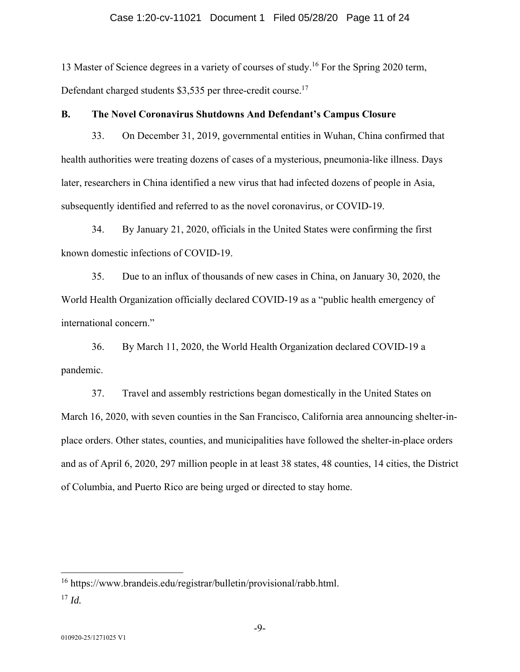### Case 1:20-cv-11021 Document 1 Filed 05/28/20 Page 11 of 24

13 Master of Science degrees in a variety of courses of study.<sup>16</sup> For the Spring 2020 term, Defendant charged students \$3,535 per three-credit course.<sup>17</sup>

### **B. The Novel Coronavirus Shutdowns And Defendant's Campus Closure**

33. On December 31, 2019, governmental entities in Wuhan, China confirmed that health authorities were treating dozens of cases of a mysterious, pneumonia-like illness. Days later, researchers in China identified a new virus that had infected dozens of people in Asia, subsequently identified and referred to as the novel coronavirus, or COVID-19.

34. By January 21, 2020, officials in the United States were confirming the first known domestic infections of COVID-19.

35. Due to an influx of thousands of new cases in China, on January 30, 2020, the World Health Organization officially declared COVID-19 as a "public health emergency of international concern."

36. By March 11, 2020, the World Health Organization declared COVID-19 a pandemic.

37. Travel and assembly restrictions began domestically in the United States on March 16, 2020, with seven counties in the San Francisco, California area announcing shelter-inplace orders. Other states, counties, and municipalities have followed the shelter-in-place orders and as of April 6, 2020, 297 million people in at least 38 states, 48 counties, 14 cities, the District of Columbia, and Puerto Rico are being urged or directed to stay home.

<sup>16</sup> https://www.brandeis.edu/registrar/bulletin/provisional/rabb.html.

 $^{17}$  *Id.*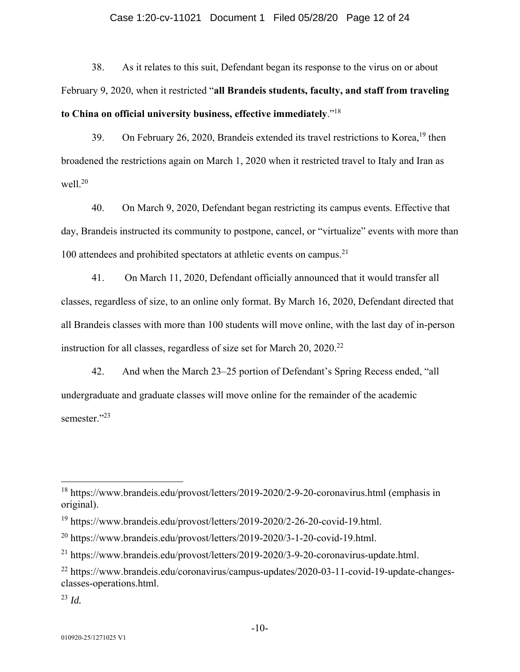#### Case 1:20-cv-11021 Document 1 Filed 05/28/20 Page 12 of 24

38. As it relates to this suit, Defendant began its response to the virus on or about February 9, 2020, when it restricted "**all Brandeis students, faculty, and staff from traveling to China on official university business, effective immediately**."18

39. On February 26, 2020, Brandeis extended its travel restrictions to Korea,<sup>19</sup> then broadened the restrictions again on March 1, 2020 when it restricted travel to Italy and Iran as well. $20$ 

40. On March 9, 2020, Defendant began restricting its campus events. Effective that day, Brandeis instructed its community to postpone, cancel, or "virtualize" events with more than 100 attendees and prohibited spectators at athletic events on campus.<sup>21</sup>

41. On March 11, 2020, Defendant officially announced that it would transfer all classes, regardless of size, to an online only format. By March 16, 2020, Defendant directed that all Brandeis classes with more than 100 students will move online, with the last day of in-person instruction for all classes, regardless of size set for March  $20$ ,  $2020$ <sup>22</sup>

42. And when the March 23–25 portion of Defendant's Spring Recess ended, "all undergraduate and graduate classes will move online for the remainder of the academic semester."23

<sup>&</sup>lt;sup>18</sup> https://www.brandeis.edu/provost/letters/2019-2020/2-9-20-coronavirus.html (emphasis in original).

<sup>19</sup> https://www.brandeis.edu/provost/letters/2019-2020/2-26-20-covid-19.html.

<sup>20</sup> https://www.brandeis.edu/provost/letters/2019-2020/3-1-20-covid-19.html.

<sup>21</sup> https://www.brandeis.edu/provost/letters/2019-2020/3-9-20-coronavirus-update.html.

<sup>22</sup> https://www.brandeis.edu/coronavirus/campus-updates/2020-03-11-covid-19-update-changesclasses-operations.html.

 $^{23}$  *Id.*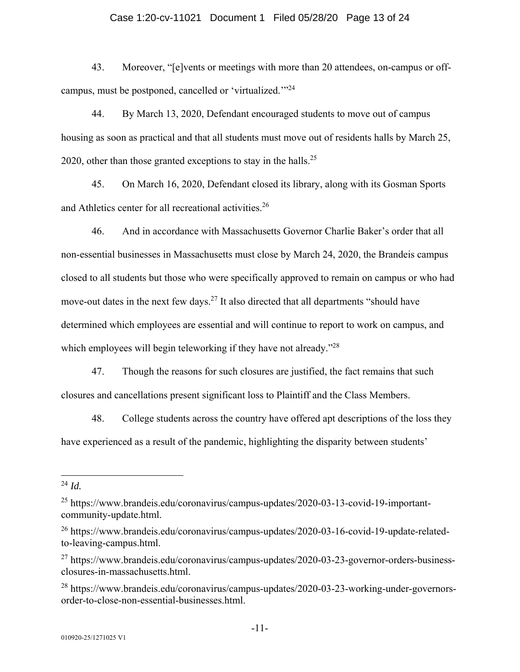### Case 1:20-cv-11021 Document 1 Filed 05/28/20 Page 13 of 24

43. Moreover, "[e]vents or meetings with more than 20 attendees, on-campus or offcampus, must be postponed, cancelled or 'virtualized.'"24

44. By March 13, 2020, Defendant encouraged students to move out of campus housing as soon as practical and that all students must move out of residents halls by March 25, 2020, other than those granted exceptions to stay in the halls.<sup>25</sup>

45. On March 16, 2020, Defendant closed its library, along with its Gosman Sports and Athletics center for all recreational activities.<sup>26</sup>

46. And in accordance with Massachusetts Governor Charlie Baker's order that all non-essential businesses in Massachusetts must close by March 24, 2020, the Brandeis campus closed to all students but those who were specifically approved to remain on campus or who had move-out dates in the next few days.<sup>27</sup> It also directed that all departments "should have determined which employees are essential and will continue to report to work on campus, and which employees will begin teleworking if they have not already."<sup>28</sup>

47. Though the reasons for such closures are justified, the fact remains that such closures and cancellations present significant loss to Plaintiff and the Class Members.

48. College students across the country have offered apt descriptions of the loss they have experienced as a result of the pandemic, highlighting the disparity between students'

 $^{24}$  *Id.* 

<sup>25</sup> https://www.brandeis.edu/coronavirus/campus-updates/2020-03-13-covid-19-importantcommunity-update.html.

<sup>&</sup>lt;sup>26</sup> https://www.brandeis.edu/coronavirus/campus-updates/2020-03-16-covid-19-update-relatedto-leaving-campus.html.

<sup>&</sup>lt;sup>27</sup> https://www.brandeis.edu/coronavirus/campus-updates/2020-03-23-governor-orders-businessclosures-in-massachusetts.html.

<sup>28</sup> https://www.brandeis.edu/coronavirus/campus-updates/2020-03-23-working-under-governorsorder-to-close-non-essential-businesses.html.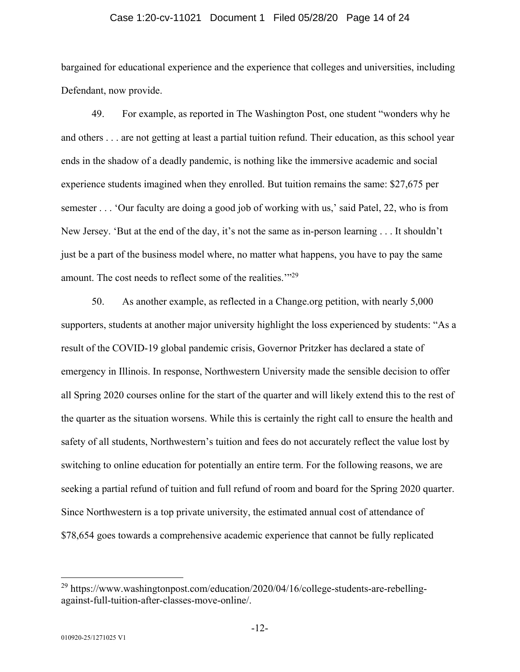### Case 1:20-cv-11021 Document 1 Filed 05/28/20 Page 14 of 24

bargained for educational experience and the experience that colleges and universities, including Defendant, now provide.

49. For example, as reported in The Washington Post, one student "wonders why he and others . . . are not getting at least a partial tuition refund. Their education, as this school year ends in the shadow of a deadly pandemic, is nothing like the immersive academic and social experience students imagined when they enrolled. But tuition remains the same: \$27,675 per semester . . . 'Our faculty are doing a good job of working with us,' said Patel, 22, who is from New Jersey. 'But at the end of the day, it's not the same as in-person learning . . . It shouldn't just be a part of the business model where, no matter what happens, you have to pay the same amount. The cost needs to reflect some of the realities."<sup>29</sup>

50. As another example, as reflected in a Change.org petition, with nearly 5,000 supporters, students at another major university highlight the loss experienced by students: "As a result of the COVID-19 global pandemic crisis, Governor Pritzker has declared a state of emergency in Illinois. In response, Northwestern University made the sensible decision to offer all Spring 2020 courses online for the start of the quarter and will likely extend this to the rest of the quarter as the situation worsens. While this is certainly the right call to ensure the health and safety of all students, Northwestern's tuition and fees do not accurately reflect the value lost by switching to online education for potentially an entire term. For the following reasons, we are seeking a partial refund of tuition and full refund of room and board for the Spring 2020 quarter. Since Northwestern is a top private university, the estimated annual cost of attendance of \$78,654 goes towards a comprehensive academic experience that cannot be fully replicated

<sup>&</sup>lt;sup>29</sup> https://www.washingtonpost.com/education/2020/04/16/college-students-are-rebellingagainst-full-tuition-after-classes-move-online/.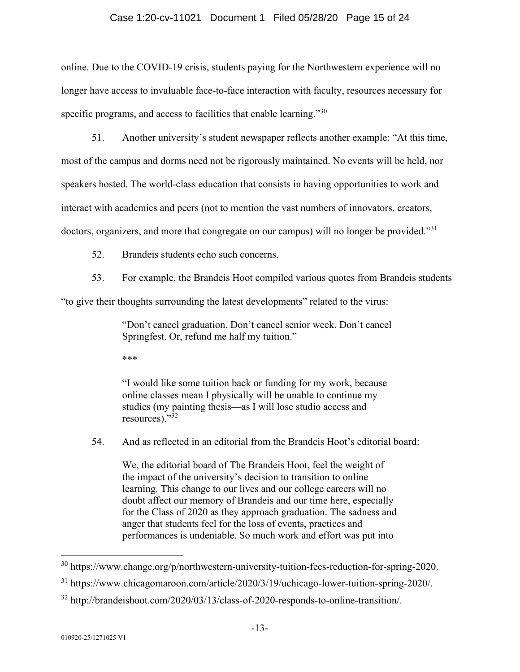### Case 1:20-cv-11021 Document 1 Filed 05/28/20 Page 15 of 24

online. Due to the COVID-19 crisis, students paying for the Northwestern experience will no longer have access to invaluable face-to-face interaction with faculty, resources necessary for specific programs, and access to facilities that enable learning."<sup>30</sup>

51. Another university's student newspaper reflects another example: "At this time, most of the campus and dorms need not be rigorously maintained. No events will be held, nor speakers hosted. The world-class education that consists in having opportunities to work and interact with academics and peers (not to mention the vast numbers of innovators, creators, doctors, organizers, and more that congregate on our campus) will no longer be provided."<sup>31</sup>

52. Brandeis students echo such concerns.

53. For example, the Brandeis Hoot compiled various quotes from Brandeis students

"to give their thoughts surrounding the latest developments" related to the virus:

"Don't cancel graduation. Don't cancel senior week. Don't cancel Springfest. Or, refund me half my tuition."

\*\*\*

"I would like some tuition back or funding for my work, because online classes mean I physically will be unable to continue my studies (my painting thesis—as I will lose studio access and resources)."32

54. And as reflected in an editorial from the Brandeis Hoot's editorial board:

We, the editorial board of The Brandeis Hoot, feel the weight of the impact of the university's decision to transition to online learning. This change to our lives and our college careers will no doubt affect our memory of Brandeis and our time here, especially for the Class of 2020 as they approach graduation. The sadness and anger that students feel for the loss of events, practices and performances is undeniable. So much work and effort was put into

<sup>30</sup> https://www.change.org/p/northwestern-university-tuition-fees-reduction-for-spring-2020.

<sup>31</sup> https://www.chicagomaroon.com/article/2020/3/19/uchicago-lower-tuition-spring-2020/.

<sup>32</sup> http://brandeishoot.com/2020/03/13/class-of-2020-responds-to-online-transition/.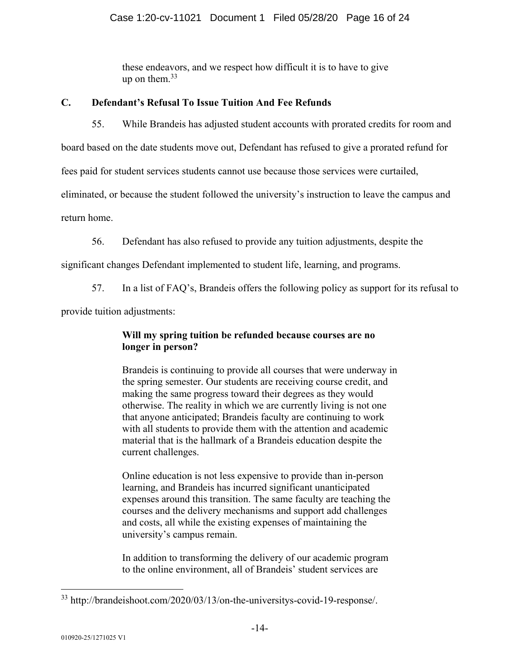these endeavors, and we respect how difficult it is to have to give up on them. $33$ 

# **C. Defendant's Refusal To Issue Tuition And Fee Refunds**

55. While Brandeis has adjusted student accounts with prorated credits for room and

board based on the date students move out, Defendant has refused to give a prorated refund for

fees paid for student services students cannot use because those services were curtailed,

eliminated, or because the student followed the university's instruction to leave the campus and

return home.

56. Defendant has also refused to provide any tuition adjustments, despite the

significant changes Defendant implemented to student life, learning, and programs.

57. In a list of FAQ's, Brandeis offers the following policy as support for its refusal to

provide tuition adjustments:

# **Will my spring tuition be refunded because courses are no longer in person?**

Brandeis is continuing to provide all courses that were underway in the spring semester. Our students are receiving course credit, and making the same progress toward their degrees as they would otherwise. The reality in which we are currently living is not one that anyone anticipated; Brandeis faculty are continuing to work with all students to provide them with the attention and academic material that is the hallmark of a Brandeis education despite the current challenges.

Online education is not less expensive to provide than in-person learning, and Brandeis has incurred significant unanticipated expenses around this transition. The same faculty are teaching the courses and the delivery mechanisms and support add challenges and costs, all while the existing expenses of maintaining the university's campus remain.

In addition to transforming the delivery of our academic program to the online environment, all of Brandeis' student services are

 $\overline{a}$ 33 http://brandeishoot.com/2020/03/13/on-the-universitys-covid-19-response/.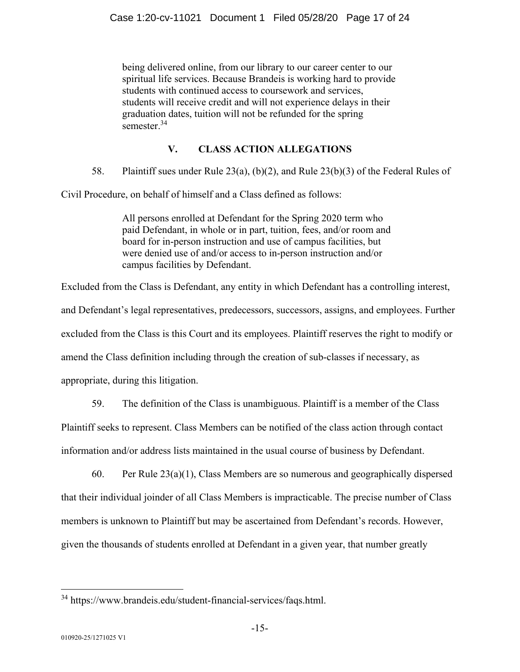being delivered online, from our library to our career center to our spiritual life services. Because Brandeis is working hard to provide students with continued access to coursework and services, students will receive credit and will not experience delays in their graduation dates, tuition will not be refunded for the spring semester.<sup>34</sup>

# **V. CLASS ACTION ALLEGATIONS**

58. Plaintiff sues under Rule 23(a), (b)(2), and Rule 23(b)(3) of the Federal Rules of

Civil Procedure, on behalf of himself and a Class defined as follows:

All persons enrolled at Defendant for the Spring 2020 term who paid Defendant, in whole or in part, tuition, fees, and/or room and board for in-person instruction and use of campus facilities, but were denied use of and/or access to in-person instruction and/or campus facilities by Defendant.

Excluded from the Class is Defendant, any entity in which Defendant has a controlling interest, and Defendant's legal representatives, predecessors, successors, assigns, and employees. Further excluded from the Class is this Court and its employees. Plaintiff reserves the right to modify or amend the Class definition including through the creation of sub-classes if necessary, as appropriate, during this litigation.

59. The definition of the Class is unambiguous. Plaintiff is a member of the Class Plaintiff seeks to represent. Class Members can be notified of the class action through contact information and/or address lists maintained in the usual course of business by Defendant.

60. Per Rule 23(a)(1), Class Members are so numerous and geographically dispersed that their individual joinder of all Class Members is impracticable. The precise number of Class members is unknown to Plaintiff but may be ascertained from Defendant's records. However, given the thousands of students enrolled at Defendant in a given year, that number greatly

<sup>&</sup>lt;sup>34</sup> https://www.brandeis.edu/student-financial-services/faqs.html.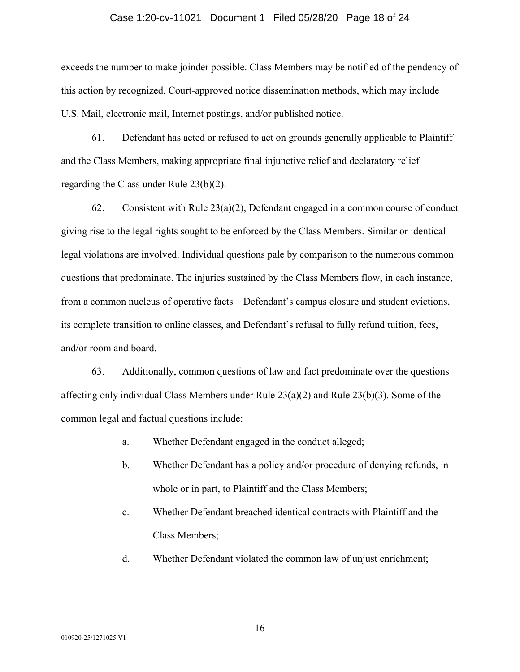### Case 1:20-cv-11021 Document 1 Filed 05/28/20 Page 18 of 24

exceeds the number to make joinder possible. Class Members may be notified of the pendency of this action by recognized, Court-approved notice dissemination methods, which may include U.S. Mail, electronic mail, Internet postings, and/or published notice.

61. Defendant has acted or refused to act on grounds generally applicable to Plaintiff and the Class Members, making appropriate final injunctive relief and declaratory relief regarding the Class under Rule 23(b)(2).

62. Consistent with Rule  $23(a)(2)$ , Defendant engaged in a common course of conduct giving rise to the legal rights sought to be enforced by the Class Members. Similar or identical legal violations are involved. Individual questions pale by comparison to the numerous common questions that predominate. The injuries sustained by the Class Members flow, in each instance, from a common nucleus of operative facts—Defendant's campus closure and student evictions, its complete transition to online classes, and Defendant's refusal to fully refund tuition, fees, and/or room and board.

63. Additionally, common questions of law and fact predominate over the questions affecting only individual Class Members under Rule 23(a)(2) and Rule 23(b)(3). Some of the common legal and factual questions include:

- a. Whether Defendant engaged in the conduct alleged;
- b. Whether Defendant has a policy and/or procedure of denying refunds, in whole or in part, to Plaintiff and the Class Members;
- c. Whether Defendant breached identical contracts with Plaintiff and the Class Members;
- d. Whether Defendant violated the common law of unjust enrichment;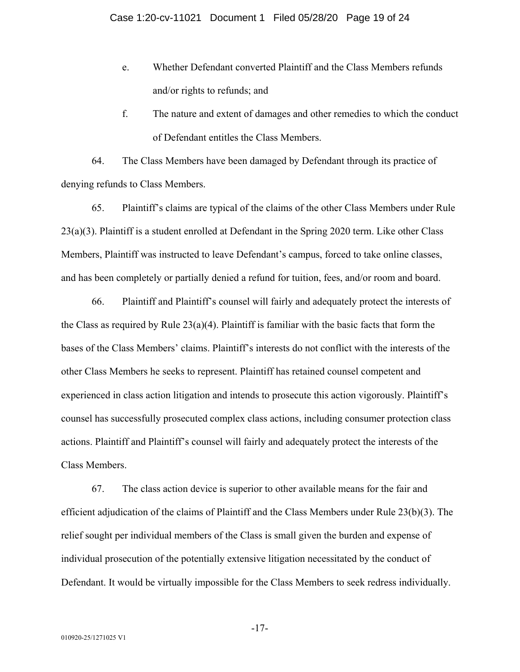- e. Whether Defendant converted Plaintiff and the Class Members refunds and/or rights to refunds; and
- f. The nature and extent of damages and other remedies to which the conduct of Defendant entitles the Class Members.

64. The Class Members have been damaged by Defendant through its practice of denying refunds to Class Members.

65. Plaintiff's claims are typical of the claims of the other Class Members under Rule 23(a)(3). Plaintiff is a student enrolled at Defendant in the Spring 2020 term. Like other Class Members, Plaintiff was instructed to leave Defendant's campus, forced to take online classes, and has been completely or partially denied a refund for tuition, fees, and/or room and board.

66. Plaintiff and Plaintiff's counsel will fairly and adequately protect the interests of the Class as required by Rule  $23(a)(4)$ . Plaintiff is familiar with the basic facts that form the bases of the Class Members' claims. Plaintiff's interests do not conflict with the interests of the other Class Members he seeks to represent. Plaintiff has retained counsel competent and experienced in class action litigation and intends to prosecute this action vigorously. Plaintiff's counsel has successfully prosecuted complex class actions, including consumer protection class actions. Plaintiff and Plaintiff's counsel will fairly and adequately protect the interests of the Class Members.

67. The class action device is superior to other available means for the fair and efficient adjudication of the claims of Plaintiff and the Class Members under Rule 23(b)(3). The relief sought per individual members of the Class is small given the burden and expense of individual prosecution of the potentially extensive litigation necessitated by the conduct of Defendant. It would be virtually impossible for the Class Members to seek redress individually.

-17-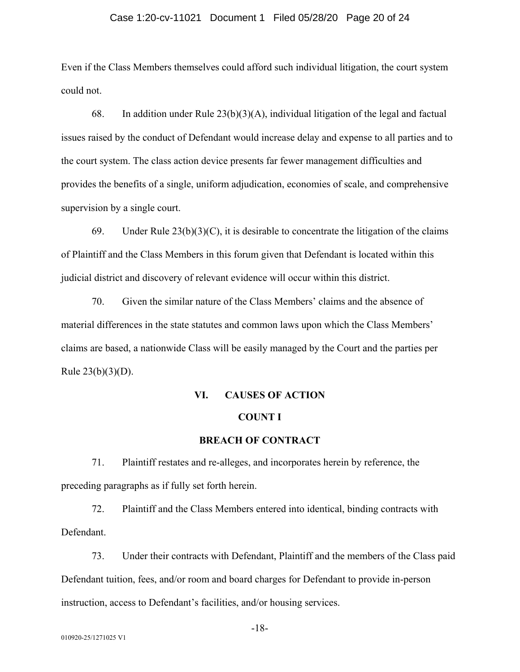### Case 1:20-cv-11021 Document 1 Filed 05/28/20 Page 20 of 24

Even if the Class Members themselves could afford such individual litigation, the court system could not.

68. In addition under Rule 23(b)(3)(A), individual litigation of the legal and factual issues raised by the conduct of Defendant would increase delay and expense to all parties and to the court system. The class action device presents far fewer management difficulties and provides the benefits of a single, uniform adjudication, economies of scale, and comprehensive supervision by a single court.

69. Under Rule  $23(b)(3)(C)$ , it is desirable to concentrate the litigation of the claims of Plaintiff and the Class Members in this forum given that Defendant is located within this judicial district and discovery of relevant evidence will occur within this district.

70. Given the similar nature of the Class Members' claims and the absence of material differences in the state statutes and common laws upon which the Class Members' claims are based, a nationwide Class will be easily managed by the Court and the parties per Rule 23(b)(3)(D).

# **VI. CAUSES OF ACTION COUNT I**

### **BREACH OF CONTRACT**

71. Plaintiff restates and re-alleges, and incorporates herein by reference, the preceding paragraphs as if fully set forth herein.

72. Plaintiff and the Class Members entered into identical, binding contracts with Defendant.

73. Under their contracts with Defendant, Plaintiff and the members of the Class paid Defendant tuition, fees, and/or room and board charges for Defendant to provide in-person instruction, access to Defendant's facilities, and/or housing services.

-18-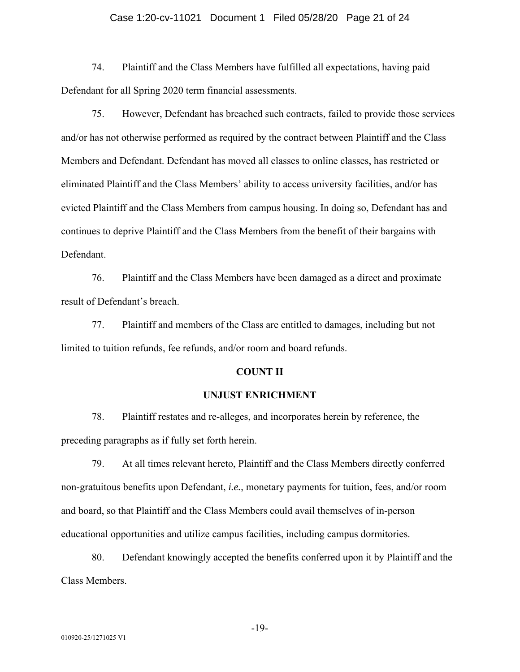### Case 1:20-cv-11021 Document 1 Filed 05/28/20 Page 21 of 24

74. Plaintiff and the Class Members have fulfilled all expectations, having paid Defendant for all Spring 2020 term financial assessments.

75. However, Defendant has breached such contracts, failed to provide those services and/or has not otherwise performed as required by the contract between Plaintiff and the Class Members and Defendant. Defendant has moved all classes to online classes, has restricted or eliminated Plaintiff and the Class Members' ability to access university facilities, and/or has evicted Plaintiff and the Class Members from campus housing. In doing so, Defendant has and continues to deprive Plaintiff and the Class Members from the benefit of their bargains with Defendant.

76. Plaintiff and the Class Members have been damaged as a direct and proximate result of Defendant's breach.

77. Plaintiff and members of the Class are entitled to damages, including but not limited to tuition refunds, fee refunds, and/or room and board refunds.

### **COUNT II**

#### **UNJUST ENRICHMENT**

78. Plaintiff restates and re-alleges, and incorporates herein by reference, the preceding paragraphs as if fully set forth herein.

79. At all times relevant hereto, Plaintiff and the Class Members directly conferred non-gratuitous benefits upon Defendant, *i.e.*, monetary payments for tuition, fees, and/or room and board, so that Plaintiff and the Class Members could avail themselves of in-person educational opportunities and utilize campus facilities, including campus dormitories.

80. Defendant knowingly accepted the benefits conferred upon it by Plaintiff and the Class Members.

-19-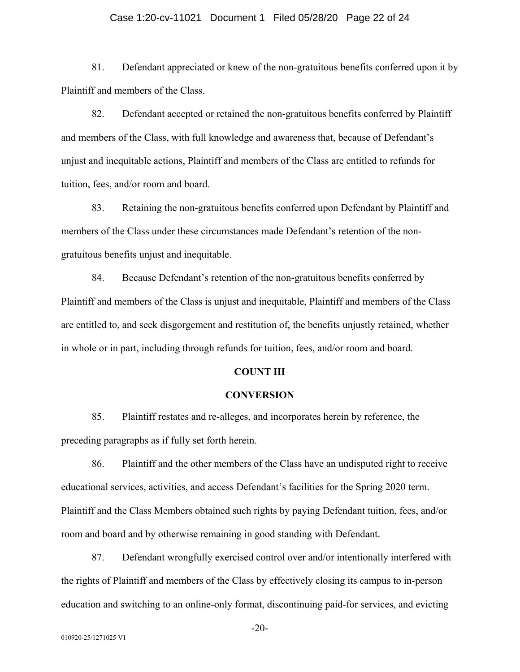#### Case 1:20-cv-11021 Document 1 Filed 05/28/20 Page 22 of 24

81. Defendant appreciated or knew of the non-gratuitous benefits conferred upon it by Plaintiff and members of the Class.

82. Defendant accepted or retained the non-gratuitous benefits conferred by Plaintiff and members of the Class, with full knowledge and awareness that, because of Defendant's unjust and inequitable actions, Plaintiff and members of the Class are entitled to refunds for tuition, fees, and/or room and board.

83. Retaining the non-gratuitous benefits conferred upon Defendant by Plaintiff and members of the Class under these circumstances made Defendant's retention of the nongratuitous benefits unjust and inequitable.

84. Because Defendant's retention of the non-gratuitous benefits conferred by Plaintiff and members of the Class is unjust and inequitable, Plaintiff and members of the Class are entitled to, and seek disgorgement and restitution of, the benefits unjustly retained, whether in whole or in part, including through refunds for tuition, fees, and/or room and board.

### **COUNT III**

#### **CONVERSION**

85. Plaintiff restates and re-alleges, and incorporates herein by reference, the preceding paragraphs as if fully set forth herein.

86. Plaintiff and the other members of the Class have an undisputed right to receive educational services, activities, and access Defendant's facilities for the Spring 2020 term. Plaintiff and the Class Members obtained such rights by paying Defendant tuition, fees, and/or room and board and by otherwise remaining in good standing with Defendant.

87. Defendant wrongfully exercised control over and/or intentionally interfered with the rights of Plaintiff and members of the Class by effectively closing its campus to in-person education and switching to an online-only format, discontinuing paid-for services, and evicting

-20-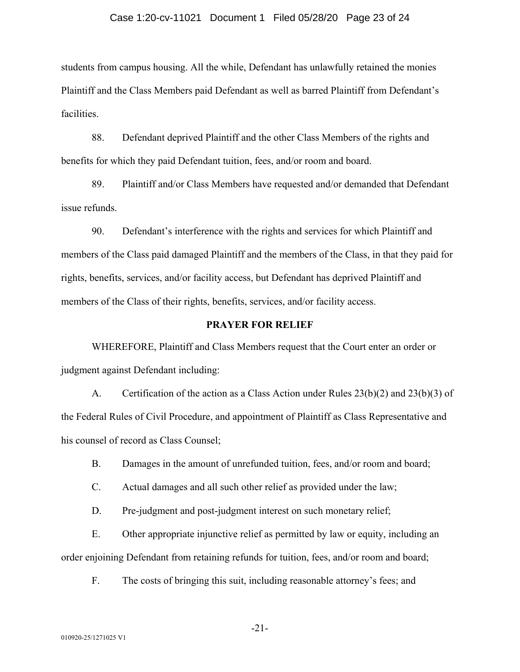### Case 1:20-cv-11021 Document 1 Filed 05/28/20 Page 23 of 24

students from campus housing. All the while, Defendant has unlawfully retained the monies Plaintiff and the Class Members paid Defendant as well as barred Plaintiff from Defendant's facilities.

88. Defendant deprived Plaintiff and the other Class Members of the rights and benefits for which they paid Defendant tuition, fees, and/or room and board.

89. Plaintiff and/or Class Members have requested and/or demanded that Defendant issue refunds.

90. Defendant's interference with the rights and services for which Plaintiff and members of the Class paid damaged Plaintiff and the members of the Class, in that they paid for rights, benefits, services, and/or facility access, but Defendant has deprived Plaintiff and members of the Class of their rights, benefits, services, and/or facility access.

### **PRAYER FOR RELIEF**

WHEREFORE, Plaintiff and Class Members request that the Court enter an order or judgment against Defendant including:

A. Certification of the action as a Class Action under Rules 23(b)(2) and 23(b)(3) of the Federal Rules of Civil Procedure, and appointment of Plaintiff as Class Representative and his counsel of record as Class Counsel;

B. Damages in the amount of unrefunded tuition, fees, and/or room and board;

C. Actual damages and all such other relief as provided under the law;

D. Pre-judgment and post-judgment interest on such monetary relief;

E. Other appropriate injunctive relief as permitted by law or equity, including an order enjoining Defendant from retaining refunds for tuition, fees, and/or room and board;

F. The costs of bringing this suit, including reasonable attorney's fees; and

-21-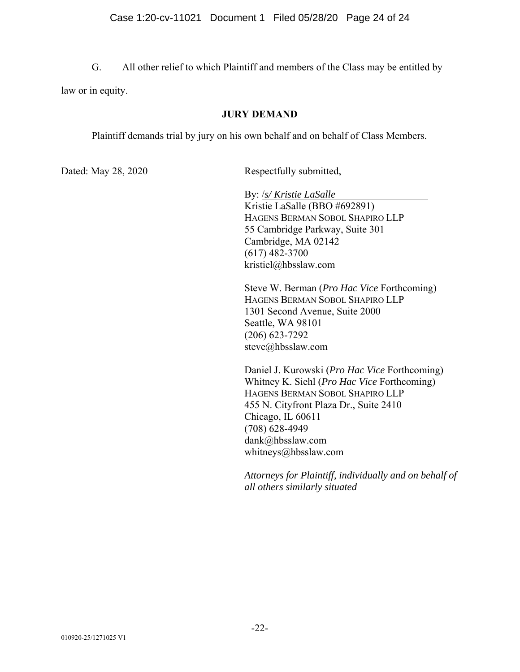G. All other relief to which Plaintiff and members of the Class may be entitled by law or in equity.

**JURY DEMAND** 

Plaintiff demands trial by jury on his own behalf and on behalf of Class Members.

Dated: May 28, 2020 Respectfully submitted,

 By: /*s/ Kristie LaSalle*  Kristie LaSalle (BBO #692891) HAGENS BERMAN SOBOL SHAPIRO LLP 55 Cambridge Parkway, Suite 301 Cambridge, MA 02142 (617) 482-3700 kristiel@hbsslaw.com

Steve W. Berman (*Pro Hac Vice* Forthcoming) HAGENS BERMAN SOBOL SHAPIRO LLP 1301 Second Avenue, Suite 2000 Seattle, WA 98101 (206) 623-7292 steve@hbsslaw.com

Daniel J. Kurowski (*Pro Hac Vice* Forthcoming) Whitney K. Siehl (*Pro Hac Vice* Forthcoming) HAGENS BERMAN SOBOL SHAPIRO LLP 455 N. Cityfront Plaza Dr., Suite 2410 Chicago, IL 60611 (708) 628-4949 dank@hbsslaw.com whitneys@hbsslaw.com

*Attorneys for Plaintiff, individually and on behalf of all others similarly situated*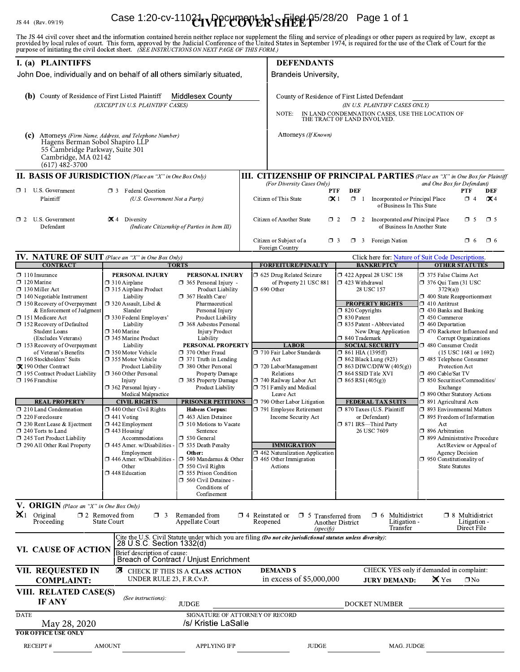### $\mathbf{C}$   $\mathbf{C}$   $\mathbf{C}$   $\mathbf{C}$   $\mathbf{C}$   $\mathbf{C}$   $\mathbf{C}$   $\mathbf{C}$   $\mathbf{C}$   $\mathbf{C}$   $\mathbf{C}$   $\mathbf{C}$   $\mathbf{C}$   $\mathbf{C}$   $\mathbf{C}$   $\mathbf{C}$   $\mathbf{C}$   $\mathbf{C}$   $\mathbf{C}$   $\mathbf{C}$   $\mathbf{C}$   $\mathbf{C}$   $\mathbf{C}$   $\mathbf{C}$   $\mathbf{$ Case 1:20-cv-11024 Document 1-1 Chiled 05/28/20 Page 1 of 1

| I. (a) PLAINTIFFS<br>John Doe, individually and on behalf of all others similarly situated,                                                                                                                                                                                                                                                                                                                                                                                                                                                                                                                                                                                                |                                                                                                                                                                                                                                                                                                                                                                                                                                                                                                                                                                                                                                                        |                                                                                                                                                                                                                                                                                                                                                                                                                                                                                                                                                                                                                                                                                   |                  | <b>DEFENDANTS</b><br><b>Brandeis University.</b>                                                                                                                                                                                                                                                                                                                    |                                                                                                                                                                                                                                                                                                                                                                                                                                                                                  |                                                                                                                                                                                                                                                                                                                                                                                                                                                                                                                                                                                                                                                                                                                                                   |
|--------------------------------------------------------------------------------------------------------------------------------------------------------------------------------------------------------------------------------------------------------------------------------------------------------------------------------------------------------------------------------------------------------------------------------------------------------------------------------------------------------------------------------------------------------------------------------------------------------------------------------------------------------------------------------------------|--------------------------------------------------------------------------------------------------------------------------------------------------------------------------------------------------------------------------------------------------------------------------------------------------------------------------------------------------------------------------------------------------------------------------------------------------------------------------------------------------------------------------------------------------------------------------------------------------------------------------------------------------------|-----------------------------------------------------------------------------------------------------------------------------------------------------------------------------------------------------------------------------------------------------------------------------------------------------------------------------------------------------------------------------------------------------------------------------------------------------------------------------------------------------------------------------------------------------------------------------------------------------------------------------------------------------------------------------------|------------------|---------------------------------------------------------------------------------------------------------------------------------------------------------------------------------------------------------------------------------------------------------------------------------------------------------------------------------------------------------------------|----------------------------------------------------------------------------------------------------------------------------------------------------------------------------------------------------------------------------------------------------------------------------------------------------------------------------------------------------------------------------------------------------------------------------------------------------------------------------------|---------------------------------------------------------------------------------------------------------------------------------------------------------------------------------------------------------------------------------------------------------------------------------------------------------------------------------------------------------------------------------------------------------------------------------------------------------------------------------------------------------------------------------------------------------------------------------------------------------------------------------------------------------------------------------------------------------------------------------------------------|
| (b) County of Residence of First Listed Plaintiff                                                                                                                                                                                                                                                                                                                                                                                                                                                                                                                                                                                                                                          | (EXCEPT IN U.S. PLAINTIFF CASES)                                                                                                                                                                                                                                                                                                                                                                                                                                                                                                                                                                                                                       | Middlesex County                                                                                                                                                                                                                                                                                                                                                                                                                                                                                                                                                                                                                                                                  |                  | NOTE:                                                                                                                                                                                                                                                                                                                                                               | County of Residence of First Listed Defendant<br>(IN U.S. PLAINTIFF CASES ONLY)<br>IN LAND CONDEMNATION CASES, USE THE LOCATION OF<br>THE TRACT OF LAND INVOLVED.                                                                                                                                                                                                                                                                                                                |                                                                                                                                                                                                                                                                                                                                                                                                                                                                                                                                                                                                                                                                                                                                                   |
| (c)<br>55 Cambridge Parkway, Suite 301<br>Cambridge, MA 02142<br>$(617)$ 482-3700                                                                                                                                                                                                                                                                                                                                                                                                                                                                                                                                                                                                          | Attorneys (Firm Name, Address, and Telephone Number)<br>Hagens Berman Sobol Shapiro LLP                                                                                                                                                                                                                                                                                                                                                                                                                                                                                                                                                                |                                                                                                                                                                                                                                                                                                                                                                                                                                                                                                                                                                                                                                                                                   |                  | Attorneys (If Known)                                                                                                                                                                                                                                                                                                                                                |                                                                                                                                                                                                                                                                                                                                                                                                                                                                                  |                                                                                                                                                                                                                                                                                                                                                                                                                                                                                                                                                                                                                                                                                                                                                   |
| <b>II. BASIS OF JURISDICTION</b> (Place an "X" in One Box Only)<br>$\Box$ 1 U.S. Government<br>Plaintiff                                                                                                                                                                                                                                                                                                                                                                                                                                                                                                                                                                                   | <b>1</b> 3 Federal Question<br>(U.S. Government Not a Party)                                                                                                                                                                                                                                                                                                                                                                                                                                                                                                                                                                                           |                                                                                                                                                                                                                                                                                                                                                                                                                                                                                                                                                                                                                                                                                   |                  | (For Diversity Cases Only)<br>Citizen of This State                                                                                                                                                                                                                                                                                                                 | DEF<br><b>PTF</b><br>$\Box$ 1<br>Incorporated or Principal Place<br>$\mathbf{X}$ 1                                                                                                                                                                                                                                                                                                                                                                                               | <b>III. CITIZENSHIP OF PRINCIPAL PARTIES</b> (Place an "X" in One Box for Plaintiff<br>and One Box for Defendant)<br><b>PTF</b><br>DEF<br>$\Box$ 4<br>$\mathbf{\propto}$ 4                                                                                                                                                                                                                                                                                                                                                                                                                                                                                                                                                                        |
| $\Box$ 2 U.S. Government<br>Defendant                                                                                                                                                                                                                                                                                                                                                                                                                                                                                                                                                                                                                                                      | $\mathbf{X}$ 4 Diversity                                                                                                                                                                                                                                                                                                                                                                                                                                                                                                                                                                                                                               | (Indicate Citizenship of Parties in Item III)                                                                                                                                                                                                                                                                                                                                                                                                                                                                                                                                                                                                                                     |                  | Citizen of Another State                                                                                                                                                                                                                                                                                                                                            | of Business In This State<br>$\Box$ 2 Incorporated <i>and</i> Principal Place<br>$\Box$ 2<br>of Business In Another State                                                                                                                                                                                                                                                                                                                                                        | $\Box$ 5<br>$\Box$ 5<br>$\Box$ 6 $\Box$ 6                                                                                                                                                                                                                                                                                                                                                                                                                                                                                                                                                                                                                                                                                                         |
| <b>IV. NATURE OF SUIT</b> (Place an "X" in One Box Only)                                                                                                                                                                                                                                                                                                                                                                                                                                                                                                                                                                                                                                   |                                                                                                                                                                                                                                                                                                                                                                                                                                                                                                                                                                                                                                                        |                                                                                                                                                                                                                                                                                                                                                                                                                                                                                                                                                                                                                                                                                   |                  | Citizen or Subject of a<br>Foreign Country                                                                                                                                                                                                                                                                                                                          | $\Box$ 3 Foreign Nation<br>$\Box$ 3                                                                                                                                                                                                                                                                                                                                                                                                                                              | Click here for: Nature of Suit Code Descriptions.                                                                                                                                                                                                                                                                                                                                                                                                                                                                                                                                                                                                                                                                                                 |
| <b>CONTRACT</b>                                                                                                                                                                                                                                                                                                                                                                                                                                                                                                                                                                                                                                                                            |                                                                                                                                                                                                                                                                                                                                                                                                                                                                                                                                                                                                                                                        | <b>TORTS</b>                                                                                                                                                                                                                                                                                                                                                                                                                                                                                                                                                                                                                                                                      |                  | <b>FORFEITURE/PENALTY</b>                                                                                                                                                                                                                                                                                                                                           | <b>BANKRUPTCY</b>                                                                                                                                                                                                                                                                                                                                                                                                                                                                | <b>OTHER STATUTES</b>                                                                                                                                                                                                                                                                                                                                                                                                                                                                                                                                                                                                                                                                                                                             |
| $\Box$ 120 Marine<br>$\Box$ 130 Miller Act<br>$\Box$ 140 Negotiable Instrument<br>$\Box$ 150 Recovery of Overpayment<br>& Enforcement of Judgment<br>□ 151 Medicare Act<br>$\Box$ 152 Recovery of Defaulted<br><b>Student Loans</b><br>(Excludes Veterans)<br>$\Box$ 153 Recovery of Overpayment<br>of Veteran's Benefits<br>160 Stockholders' Suits<br>X 190 Other Contract<br>□ 195 Contract Product Liability<br>196 Franchise<br><b>REAL PROPERTY</b><br>□ 210 Land Condemnation<br>□ 220 Foreclosure<br>□ 230 Rent Lease & Ejectment<br>$\square$ 240 Torts to Land<br>$\Box$ 245 Tort Product Liability<br>□ 290 All Other Real Property<br>V. ORIGIN (Place an "X" in One Box Only) | $\Box$ 310 Airplane<br>$\Box$ 315 Airplane Product<br>Liability<br>$\Box$ 320 Assault, Libel &<br>Slander<br>□ 330 Federal Employers'<br>Liability<br>$\Box$ 340 Marine<br>□ 345 Marine Product<br>Liability<br>$\Box$ 350 Motor Vehicle<br>□ 355 Motor Vehicle<br><b>Product Liability</b><br>□ 360 Other Personal<br>Injury<br>362 Personal Injury -<br>Medical Malpractice<br><b>CIVIL RIGHTS</b><br>$\Box$ 440 Other Civil Rights<br>$\Box$ 441 Voting<br>$\square$ 442 Employment<br>$\Box$ 443 Housing/<br>Accommodations<br>$\square$ 445 Amer. w/Disabilities -<br>Employment<br>$\Box$ 446 Amer. w/Disabilities -<br>Other<br>□ 448 Education | $\Box$ 365 Personal Injury -<br>Product Liability<br>$\Box$ 367 Health Care/<br>Pharmaceutical<br>Personal Injury<br>Product Liability<br>□ 368 Asbestos Personal<br><b>Injury Product</b><br>Liability<br>PERSONAL PROPERTY<br>□ 370 Other Fraud<br>$\Box$ 371 Truth in Lending<br>380 Other Personal<br>Property Damage<br>□ 385 Property Damage<br>Product Liability<br>PRISONER PETITIONS<br><b>Habeas Corpus:</b><br>□ 463 Alien Detainee<br>$\Box$ 510 Motions to Vacate<br>Sentence<br>□ 530 General<br>□ 535 Death Penalty<br>Other:<br>□ 540 Mandamus & Other<br>$\Box$ 550 Civil Rights<br>555 Prison Condition<br>560 Civil Detainee -<br>Conditions of<br>Confinement | $\Box$ 690 Other | of Property 21 USC 881<br><b>LABOR</b><br>710 Fair Labor Standards<br>Act<br>720 Labor/Management<br>Relations<br>740 Railway Labor Act<br>751 Family and Medical<br>Leave Act<br>790 Other Labor Litigation<br>791 Employee Retirement<br>Income Security Act<br><b>IMMIGRATION</b><br>□ 462 Naturalization Application<br>$\Box$ 465 Other Immigration<br>Actions | $\Box$ 423 Withdrawal<br>28 USC 157<br><b>PROPERTY RIGHTS</b><br>$\Box$ 820 Copyrights<br>□ 830 Patent<br>□ 835 Patent - Abbreviated<br>New Drug Application<br>□ 840 Trademark<br><b>SOCIAL SECURITY</b><br>$\Box$ 861 HIA (1395ff)<br>$\Box$ 862 Black Lung (923)<br>$\Box$ 863 DIWC/DIWW (405(g))<br>$\Box$ 864 SSID Title XVI<br>$\Box$ 865 RSI (405(g))<br><b>FEDERAL TAX SUITS</b><br>□ 870 Taxes (U.S. Plaintiff<br>or Defendant)<br>□ 871 IRS-Third Party<br>26 USC 7609 | $\Box$ 376 Qui Tam (31 USC<br>3729(a)<br>$\Box$ 400 State Reapportionment<br>$\Box$ 410 Antitrust<br>$\Box$ 430 Banks and Banking<br>$\square$ 450 Commerce<br>$\square$ 460 Deportation<br>$\Box$ 470 Racketeer Influenced and<br>Corrupt Organizations<br>480 Consumer Credit<br>$(15$ USC 1681 or 1692)<br>1485 Telephone Consumer<br>Protection Act<br>□ 490 Cable/Sat TV<br>□ 850 Securities/Commodities/<br>Exchange<br>□ 890 Other Statutory Actions<br>$\Box$ 891 Agricultural Acts<br>□ 893 Environmental Matters<br>$\Box$ 895 Freedom of Information<br>Act<br>□ 896 Arbitration<br>□ 899 Administrative Procedure<br>Act/Review or Appeal of<br><b>Agency Decision</b><br>$\square$ 950 Constitutionality of<br><b>State Statutes</b> |
| $\mathbf{X}$ 1 Original<br>Proceeding<br>VI. CAUSE OF ACTION                                                                                                                                                                                                                                                                                                                                                                                                                                                                                                                                                                                                                               | $\Box$ 2 Removed from<br>$\Box$ 3<br><b>State Court</b><br>28 U.S.C. Section 1332(d)<br>Brief description of cause:                                                                                                                                                                                                                                                                                                                                                                                                                                                                                                                                    | Remanded from<br>Appellate Court<br>Cite the U.S. Civil Statute under which you are filing (Do not cite jurisdictional statutes unless diversity):<br>Breach of Contract / Unjust Enrichment                                                                                                                                                                                                                                                                                                                                                                                                                                                                                      | Reopened         | $\Box$ 4 Reinstated or $\Box$ 5 Transferred from<br>(specify)                                                                                                                                                                                                                                                                                                       | $\Box$ 6 Multidistrict<br>Litigation -<br>Another District<br>Transfer                                                                                                                                                                                                                                                                                                                                                                                                           | $\Box$ 8 Multidistrict<br>Litigation -<br>Direct File                                                                                                                                                                                                                                                                                                                                                                                                                                                                                                                                                                                                                                                                                             |
| VII. REQUESTED IN<br><b>COMPLAINT:</b>                                                                                                                                                                                                                                                                                                                                                                                                                                                                                                                                                                                                                                                     | UNDER RULE 23, F.R.Cv.P.                                                                                                                                                                                                                                                                                                                                                                                                                                                                                                                                                                                                                               | <b>E</b> CHECK IF THIS IS A CLASS ACTION                                                                                                                                                                                                                                                                                                                                                                                                                                                                                                                                                                                                                                          |                  | <b>DEMAND \$</b><br>in excess of \$5,000,000                                                                                                                                                                                                                                                                                                                        | <b>JURY DEMAND:</b>                                                                                                                                                                                                                                                                                                                                                                                                                                                              | CHECK YES only if demanded in complaint:<br>$\mathbf{X}$ Yes<br>$\square$ No                                                                                                                                                                                                                                                                                                                                                                                                                                                                                                                                                                                                                                                                      |
| VIII. RELATED CASE(S)<br><b>IF ANY</b>                                                                                                                                                                                                                                                                                                                                                                                                                                                                                                                                                                                                                                                     | (See instructions):                                                                                                                                                                                                                                                                                                                                                                                                                                                                                                                                                                                                                                    | <b>JUDGE</b>                                                                                                                                                                                                                                                                                                                                                                                                                                                                                                                                                                                                                                                                      |                  |                                                                                                                                                                                                                                                                                                                                                                     | DOCKET NUMBER                                                                                                                                                                                                                                                                                                                                                                                                                                                                    |                                                                                                                                                                                                                                                                                                                                                                                                                                                                                                                                                                                                                                                                                                                                                   |
|                                                                                                                                                                                                                                                                                                                                                                                                                                                                                                                                                                                                                                                                                            |                                                                                                                                                                                                                                                                                                                                                                                                                                                                                                                                                                                                                                                        |                                                                                                                                                                                                                                                                                                                                                                                                                                                                                                                                                                                                                                                                                   |                  |                                                                                                                                                                                                                                                                                                                                                                     |                                                                                                                                                                                                                                                                                                                                                                                                                                                                                  |                                                                                                                                                                                                                                                                                                                                                                                                                                                                                                                                                                                                                                                                                                                                                   |